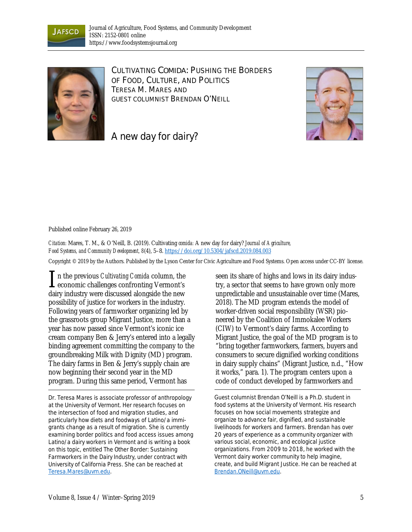



CULTIVATING *COMIDA:* PUSHING THE BORDERS OF FOOD, CULTURE, AND POLITICS TERESA M. MARES AND GUEST COLUMNIST BRENDAN O'NEILL



A new day for dairy?

Published online February 26, 2019

*Citation:* Mares, T. M., & O'Neill, B. (2019). Cultivating *comida:* A new day for dairy? *Journal of Agriculture, Food Systems, and Community Development, 8*(4), 5–8. https://doi.org/10.5304/jafscd.2019.084.003

Copyright © 2019 by the Authors. Published by the Lyson Center for Civic Agriculture and Food Systems. Open access under CC-BY license.

n the previous *Cultivating Comida* column, the  $\prod$ n the previous *Cultivating Comida* column, the economic challenges confronting Vermont's dairy industry were discussed alongside the new possibility of justice for workers in the industry. Following years of farmworker organizing led by the grassroots group Migrant Justice, more than a year has now passed since Vermont's iconic ice cream company Ben & Jerry's entered into a legally binding agreement committing the company to the groundbreaking Milk with Dignity (MD) program. The dairy farms in Ben & Jerry's supply chain are now beginning their second year in the MD program. During this same period, Vermont has

*Dr. Teresa Mares is associate professor of anthropology at the University of Vermont. Her research focuses on the intersection of food and migration studies, and particularly how diets and foodways of Latino/a immigrants change as a result of migration. She is currently examining border politics and food access issues among Latino/a dairy workers in Vermont and is writing a book on this topic, entitled* The Other Border: Sustaining Farmworkers in the Dairy Industry, *under contract with University of California Press. She can be reached at Teresa.Mares@uvm.edu.*

seen its share of highs and lows in its dairy industry, a sector that seems to have grown only more unpredictable and unsustainable over time (Mares, 2018). The MD program extends the model of worker-driven social responsibility (WSR) pioneered by the Coalition of Immokalee Workers (CIW) to Vermont's dairy farms. According to Migrant Justice, the goal of the MD program is to "bring together farmworkers, farmers, buyers and consumers to secure dignified working conditions in dairy supply chains" (Migrant Justice, n.d., "How it works," para. 1). The program centers upon a code of conduct developed by farmworkers and

*Guest columnist Brendan O'Neill is a Ph.D. student in food systems at the University of Vermont. His research focuses on how social movements strategize and organize to advance fair, dignified, and sustainable livelihoods for workers and farmers. Brendan has over 20 years of experience as a community organizer with various social, economic, and ecological justice organizations. From 2009 to 2018, he worked with the Vermont dairy worker community to help imagine, create, and build Migrant Justice. He can be reached at Brendan.ONeill@uvm.edu.*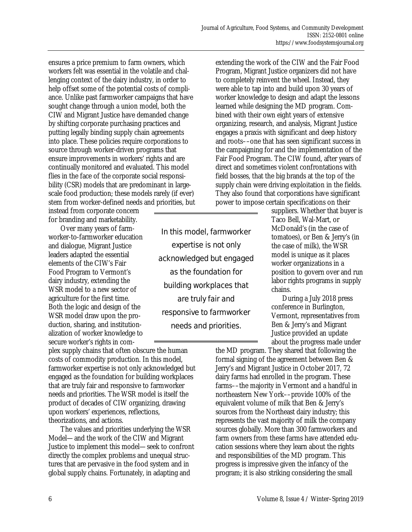ensures a price premium to farm owners, which workers felt was essential in the volatile and challenging context of the dairy industry, in order to help offset some of the potential costs of compliance. Unlike past farmworker campaigns that have sought change through a union model, both the CIW and Migrant Justice have demanded change by shifting corporate purchasing practices and putting legally binding supply chain agreements into place. These policies require corporations to source through worker-driven programs that ensure improvements in workers' rights and are continually monitored and evaluated. This model flies in the face of the corporate social responsibility (CSR) models that are predominant in largescale food production; these models rarely (if ever) stem from worker-defined needs and priorities, but

instead from corporate concern for branding and marketability.

 Over many years of farmworker-to-farmworker education and dialogue, Migrant Justice leaders adapted the essential elements of the CIW's Fair Food Program to Vermont's dairy industry, extending the WSR model to a new sector of agriculture for the first time. Both the logic and design of the WSR model draw upon the production, sharing, and institutionalization of worker knowledge to secure worker's rights in com-

plex supply chains that often obscure the human costs of commodity production. In this model, farmworker expertise is not only acknowledged but engaged as the foundation for building workplaces that are truly fair and responsive to farmworker needs and priorities. The WSR model is itself the product of decades of CIW organizing, drawing upon workers' experiences, reflections, theorizations, and actions.

 The values and priorities underlying the WSR Model—and the work of the CIW and Migrant Justice to implement this model—seek to confront directly the complex problems and unequal structures that are pervasive in the food system and in global supply chains. Fortunately, in adapting and

In this model, farmworker expertise is not only acknowledged but engaged as the foundation for building workplaces that are truly fair and responsive to farmworker needs and priorities.

extending the work of the CIW and the Fair Food Program, Migrant Justice organizers did not have to completely reinvent the wheel. Instead, they were able to tap into and build upon 30 years of worker knowledge to design and adapt the lessons learned while designing the MD program. Combined with their own eight years of extensive organizing, research, and analysis, Migrant Justice engages a praxis with significant and deep history and roots––one that has seen significant success in the campaigning for and the implementation of the Fair Food Program. The CIW found, after years of direct and sometimes violent confrontations with field bosses, that the big brands at the top of the supply chain were driving exploitation in the fields. They also found that corporations have significant power to impose certain specifications on their

> suppliers. Whether that buyer is Taco Bell, Wal-Mart, or McDonald's (in the case of tomatoes), or Ben & Jerry's (in the case of milk), the WSR model is unique as it places worker organizations in a position to govern over and run labor rights programs in supply chains.

 During a July 2018 press conference in Burlington, Vermont, representatives from Ben & Jerry's and Migrant Justice provided an update about the progress made under

the MD program. They shared that following the formal signing of the agreement between Ben & Jerry's and Migrant Justice in October 2017, 72 dairy farms had enrolled in the program. These farms––the majority in Vermont and a handful in northeastern New York––provide 100% of the equivalent volume of milk that Ben & Jerry's sources from the Northeast dairy industry; this represents the vast majority of milk the company sources globally. More than 300 farmworkers and farm owners from these farms have attended education sessions where they learn about the rights and responsibilities of the MD program. This progress is impressive given the infancy of the program; it is also striking considering the small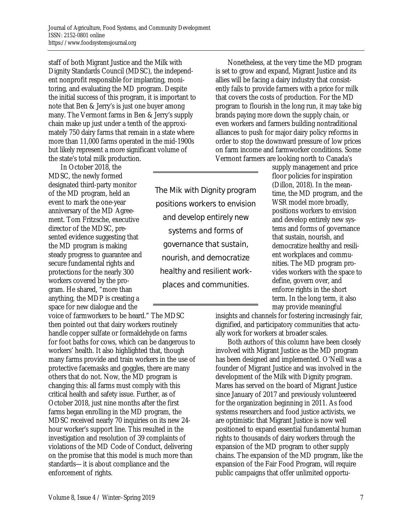staff of both Migrant Justice and the Milk with Dignity Standards Council (MDSC), the independent nonprofit responsible for implanting, monitoring, and evaluating the MD program. Despite the initial success of this program, it is important to note that Ben & Jerry's is just one buyer among many. The Vermont farms in Ben & Jerry's supply chain make up just under a tenth of the approximately 750 dairy farms that remain in a state where more than 11,000 farms operated in the mid-1900s but likely represent a more significant volume of the state's total milk production.

 In October 2018, the MDSC, the newly formed designated third-party monitor of the MD program, held an event to mark the one-year anniversary of the MD Agreement. Tom Fritzsche, executive director of the MDSC, presented evidence suggesting that the MD program is making steady progress to guarantee and secure fundamental rights and protections for the nearly 300 workers covered by the program. He shared, "more than anything, the MDP is creating a space for new dialogue and the

voice of farmworkers to be heard." The MDSC then pointed out that dairy workers routinely handle copper sulfate or formaldehyde on farms for foot baths for cows, which can be dangerous to workers' health. It also highlighted that, though many farms provide and train workers in the use of protective facemasks and goggles, there are many others that do not. Now, the MD program is changing this: all farms must comply with this critical health and safety issue. Further, as of October 2018, just nine months after the first farms began enrolling in the MD program, the MDSC received nearly 70 inquiries on its new 24 hour worker's support line. This resulted in the investigation and resolution of 39 complaints of violations of the MD Code of Conduct, delivering on the promise that this model is much more than standards—it is about compliance and the enforcement of rights.

The Mik with Dignity program positions workers to envision and develop entirely new systems and forms of governance that sustain, nourish, and democratize healthy and resilient workplaces and communities.

 Nonetheless, at the very time the MD program is set to grow and expand, Migrant Justice and its allies will be facing a dairy industry that consistently fails to provide farmers with a price for milk that covers the costs of production. For the MD program to flourish in the long run, it may take big brands paying more down the supply chain, or even workers and farmers building nontraditional alliances to push for major dairy policy reforms in order to stop the downward pressure of low prices on farm income and farmworker conditions. Some Vermont farmers are looking north to Canada's

supply management and price floor policies for inspiration (Dillon, 2018). In the meantime, the MD program, and the WSR model more broadly, positions workers to envision and develop entirely new systems and forms of governance that sustain, nourish, and democratize healthy and resilient workplaces and communities. The MD program provides workers with the space to define, govern over, and enforce rights in the short term. In the long term, it also may provide meaningful

insights and channels for fostering increasingly fair, dignified, and participatory communities that actually work for workers at broader scales.

 Both authors of this column have been closely involved with Migrant Justice as the MD program has been designed and implemented. O'Neill was a founder of Migrant Justice and was involved in the development of the Milk with Dignity program. Mares has served on the board of Migrant Justice since January of 2017 and previously volunteered for the organization beginning in 2011. As food systems researchers and food justice activists, we are optimistic that Migrant Justice is now well positioned to expand essential fundamental human rights to thousands of dairy workers through the expansion of the MD program to other supply chains. The expansion of the MD program, like the expansion of the Fair Food Program, will require public campaigns that offer unlimited opportu